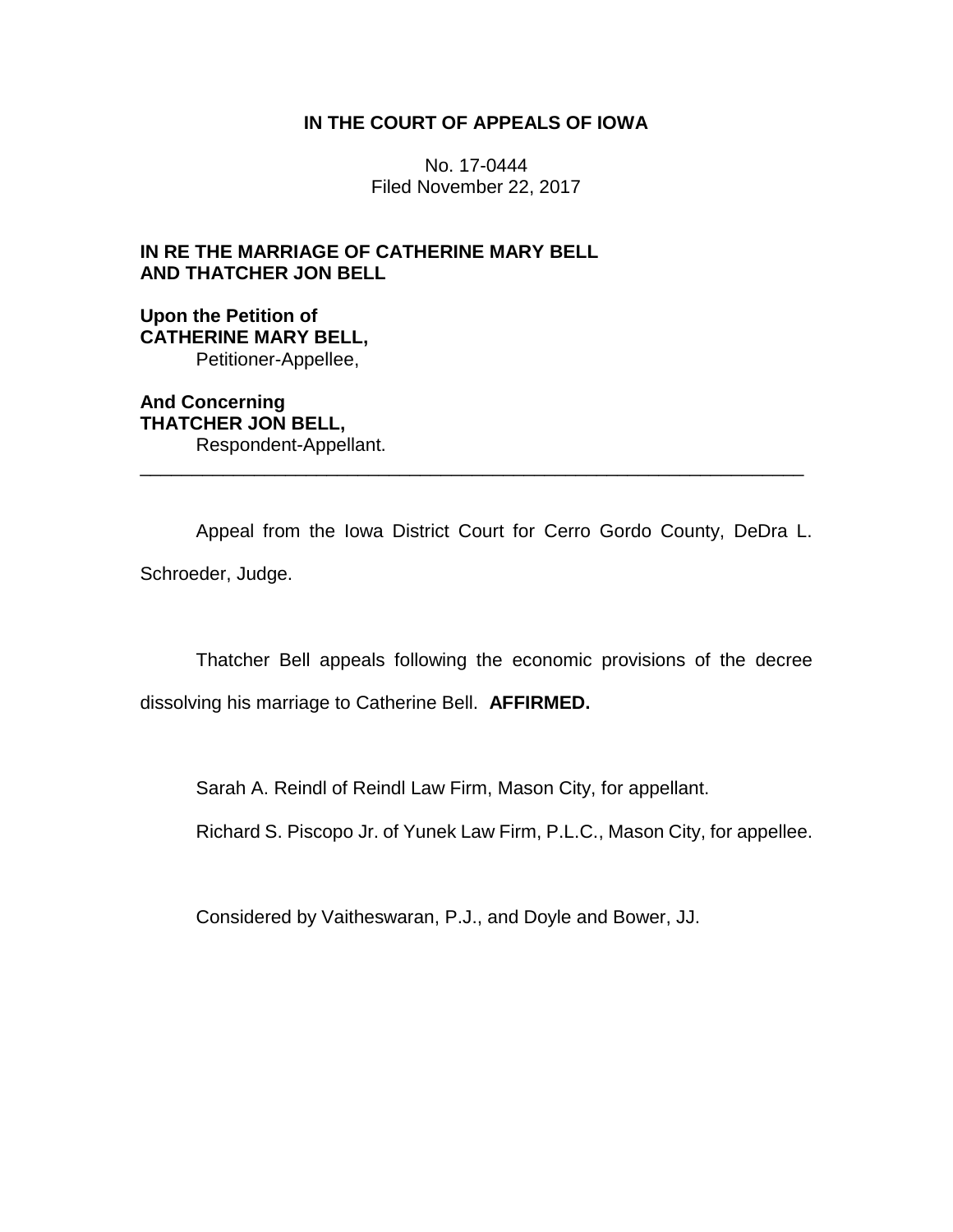## **IN THE COURT OF APPEALS OF IOWA**

No. 17-0444 Filed November 22, 2017

# **IN RE THE MARRIAGE OF CATHERINE MARY BELL AND THATCHER JON BELL**

**Upon the Petition of CATHERINE MARY BELL,** Petitioner-Appellee,

**And Concerning THATCHER JON BELL,** Respondent-Appellant.

Appeal from the Iowa District Court for Cerro Gordo County, DeDra L. Schroeder, Judge.

\_\_\_\_\_\_\_\_\_\_\_\_\_\_\_\_\_\_\_\_\_\_\_\_\_\_\_\_\_\_\_\_\_\_\_\_\_\_\_\_\_\_\_\_\_\_\_\_\_\_\_\_\_\_\_\_\_\_\_\_\_\_\_\_

Thatcher Bell appeals following the economic provisions of the decree

dissolving his marriage to Catherine Bell. **AFFIRMED.**

Sarah A. Reindl of Reindl Law Firm, Mason City, for appellant.

Richard S. Piscopo Jr. of Yunek Law Firm, P.L.C., Mason City, for appellee.

Considered by Vaitheswaran, P.J., and Doyle and Bower, JJ.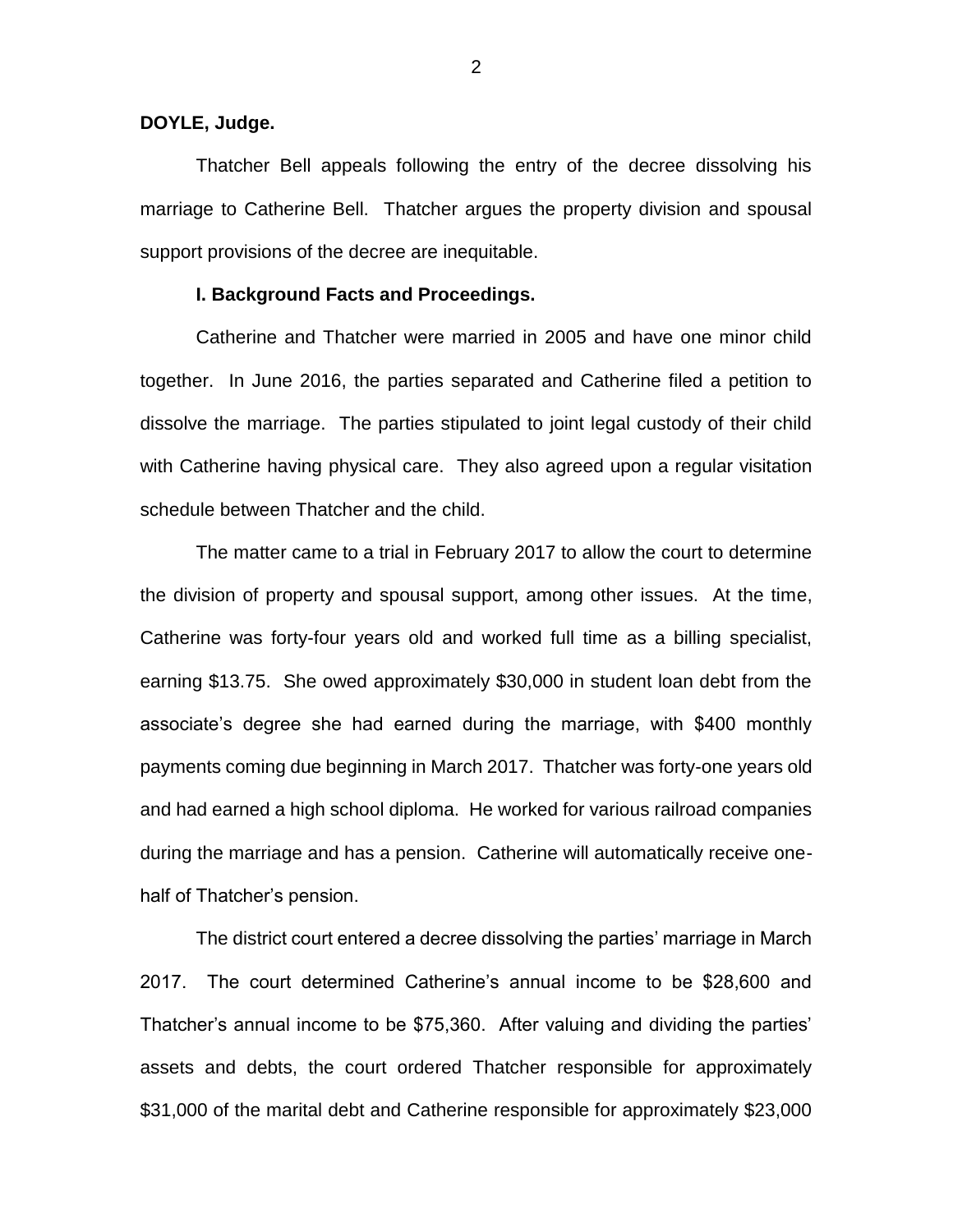#### **DOYLE, Judge.**

Thatcher Bell appeals following the entry of the decree dissolving his marriage to Catherine Bell. Thatcher argues the property division and spousal support provisions of the decree are inequitable.

#### **I. Background Facts and Proceedings.**

Catherine and Thatcher were married in 2005 and have one minor child together. In June 2016, the parties separated and Catherine filed a petition to dissolve the marriage. The parties stipulated to joint legal custody of their child with Catherine having physical care. They also agreed upon a regular visitation schedule between Thatcher and the child.

The matter came to a trial in February 2017 to allow the court to determine the division of property and spousal support, among other issues. At the time, Catherine was forty-four years old and worked full time as a billing specialist, earning \$13.75. She owed approximately \$30,000 in student loan debt from the associate's degree she had earned during the marriage, with \$400 monthly payments coming due beginning in March 2017. Thatcher was forty-one years old and had earned a high school diploma. He worked for various railroad companies during the marriage and has a pension. Catherine will automatically receive onehalf of Thatcher's pension.

The district court entered a decree dissolving the parties' marriage in March 2017. The court determined Catherine's annual income to be \$28,600 and Thatcher's annual income to be \$75,360. After valuing and dividing the parties' assets and debts, the court ordered Thatcher responsible for approximately \$31,000 of the marital debt and Catherine responsible for approximately \$23,000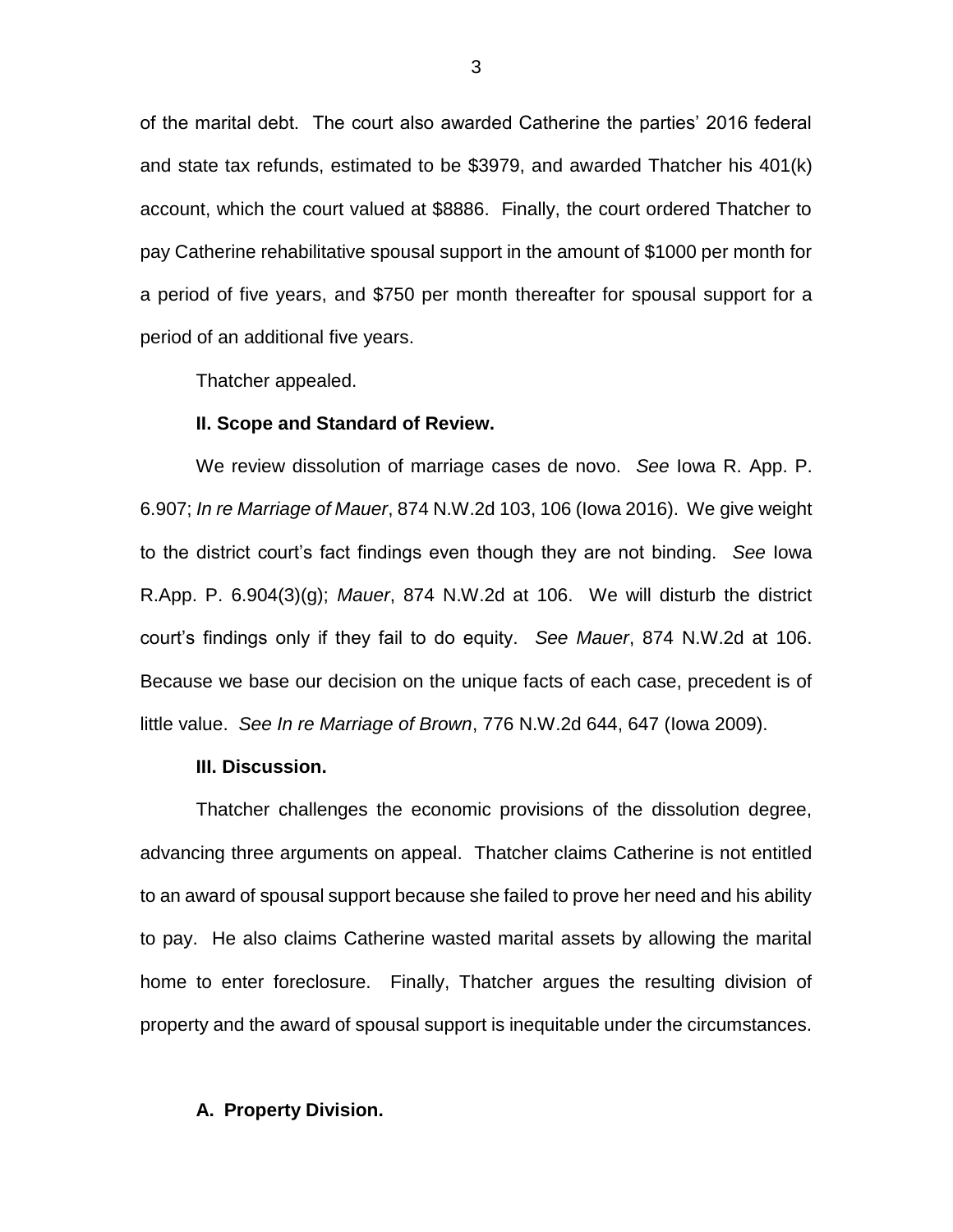of the marital debt. The court also awarded Catherine the parties' 2016 federal and state tax refunds, estimated to be \$3979, and awarded Thatcher his 401(k) account, which the court valued at \$8886. Finally, the court ordered Thatcher to pay Catherine rehabilitative spousal support in the amount of \$1000 per month for a period of five years, and \$750 per month thereafter for spousal support for a period of an additional five years.

Thatcher appealed.

#### **II. Scope and Standard of Review.**

We review dissolution of marriage cases de novo. *See* Iowa R. App. P. 6.907; *In re Marriage of Mauer*, 874 N.W.2d 103, 106 (Iowa 2016). We give weight to the district court's fact findings even though they are not binding. *See* Iowa R.App. P. 6.904(3)(g); *Mauer*, 874 N.W.2d at 106. We will disturb the district court's findings only if they fail to do equity. *See Mauer*, 874 N.W.2d at 106. Because we base our decision on the unique facts of each case, precedent is of little value. *See In re Marriage of Brown*, 776 N.W.2d 644, 647 (Iowa 2009).

### **III. Discussion.**

Thatcher challenges the economic provisions of the dissolution degree, advancing three arguments on appeal. Thatcher claims Catherine is not entitled to an award of spousal support because she failed to prove her need and his ability to pay. He also claims Catherine wasted marital assets by allowing the marital home to enter foreclosure. Finally, Thatcher argues the resulting division of property and the award of spousal support is inequitable under the circumstances.

#### **A. Property Division.**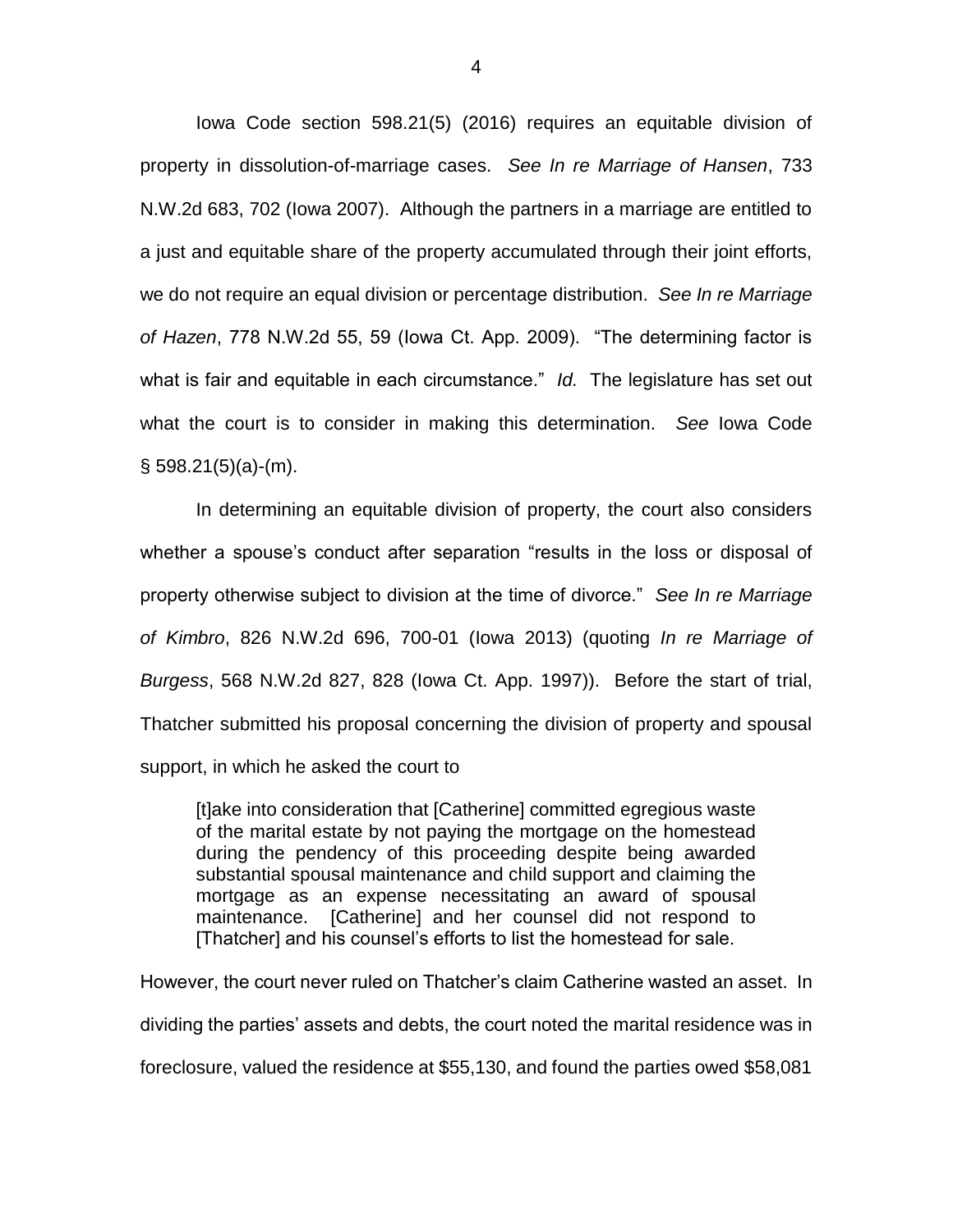Iowa Code section 598.21(5) (2016) requires an equitable division of property in dissolution-of-marriage cases. *See In re Marriage of Hansen*, 733 N.W.2d 683, 702 (Iowa 2007). Although the partners in a marriage are entitled to a just and equitable share of the property accumulated through their joint efforts, we do not require an equal division or percentage distribution. *See In re Marriage of Hazen*, 778 N.W.2d 55, 59 (Iowa Ct. App. 2009). "The determining factor is what is fair and equitable in each circumstance." *Id.* The legislature has set out what the court is to consider in making this determination. *See* Iowa Code  $§$  598.21(5)(a)-(m).

In determining an equitable division of property, the court also considers whether a spouse's conduct after separation "results in the loss or disposal of property otherwise subject to division at the time of divorce." *See In re Marriage of Kimbro*, 826 N.W.2d 696, 700-01 (Iowa 2013) (quoting *In re Marriage of Burgess*, 568 N.W.2d 827, 828 (Iowa Ct. App. 1997)). Before the start of trial, Thatcher submitted his proposal concerning the division of property and spousal support, in which he asked the court to

[t]ake into consideration that [Catherine] committed egregious waste of the marital estate by not paying the mortgage on the homestead during the pendency of this proceeding despite being awarded substantial spousal maintenance and child support and claiming the mortgage as an expense necessitating an award of spousal maintenance. [Catherine] and her counsel did not respond to [Thatcher] and his counsel's efforts to list the homestead for sale.

However, the court never ruled on Thatcher's claim Catherine wasted an asset. In dividing the parties' assets and debts, the court noted the marital residence was in foreclosure, valued the residence at \$55,130, and found the parties owed \$58,081

4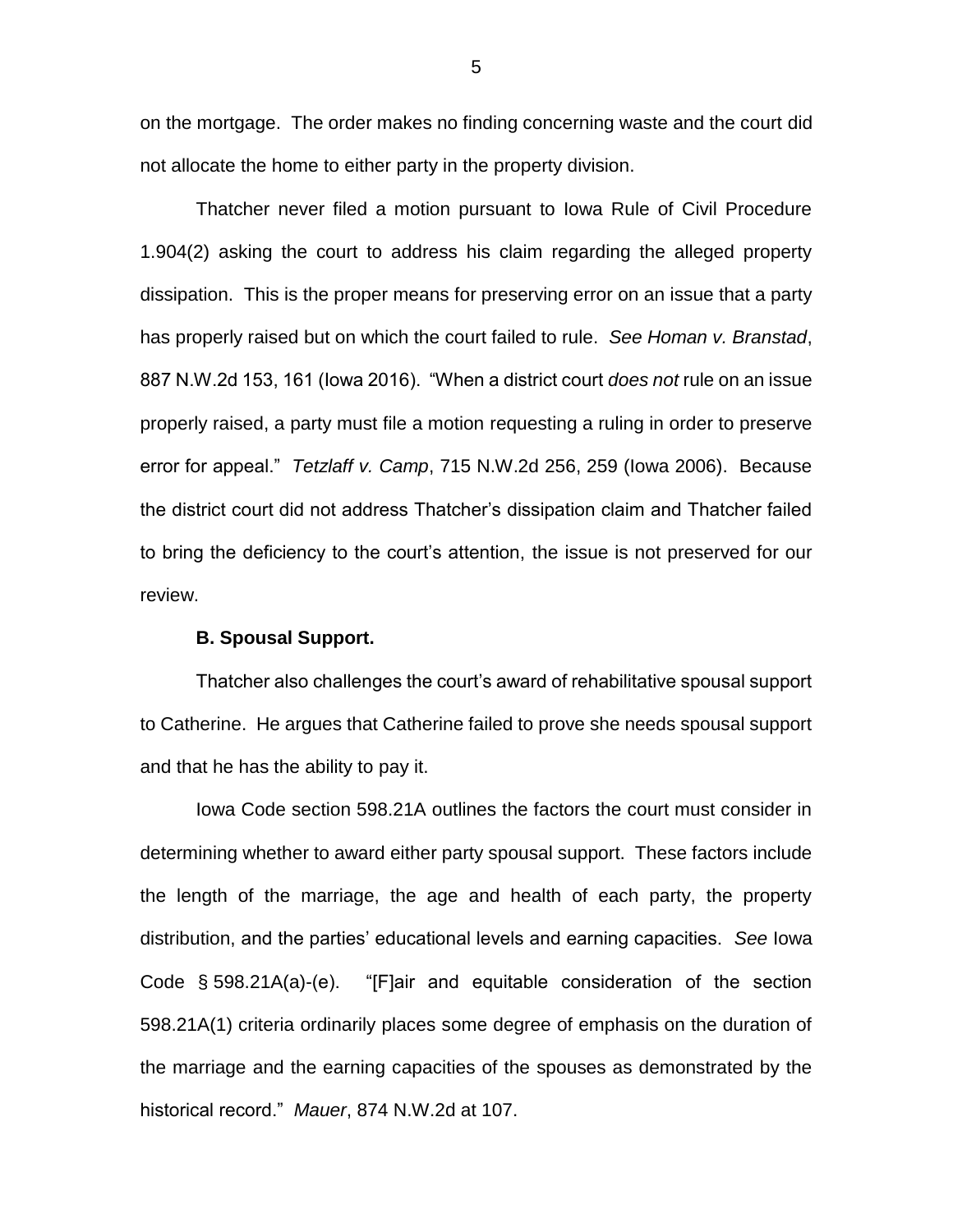on the mortgage. The order makes no finding concerning waste and the court did not allocate the home to either party in the property division.

Thatcher never filed a motion pursuant to Iowa Rule of Civil Procedure 1.904(2) asking the court to address his claim regarding the alleged property dissipation. This is the proper means for preserving error on an issue that a party has properly raised but on which the court failed to rule. *See Homan v. Branstad*, 887 N.W.2d 153, 161 (Iowa 2016). "When a district court *does not* rule on an issue properly raised, a party must file a motion requesting a ruling in order to preserve error for appeal." *Tetzlaff v. Camp*, 715 N.W.2d 256, 259 (Iowa 2006). Because the district court did not address Thatcher's dissipation claim and Thatcher failed to bring the deficiency to the court's attention, the issue is not preserved for our review.

#### **B. Spousal Support.**

Thatcher also challenges the court's award of rehabilitative spousal support to Catherine. He argues that Catherine failed to prove she needs spousal support and that he has the ability to pay it.

Iowa Code section 598.21A outlines the factors the court must consider in determining whether to award either party spousal support. These factors include the length of the marriage, the age and health of each party, the property distribution, and the parties' educational levels and earning capacities. *See* Iowa Code § 598.21A(a)-(e). "[F]air and equitable consideration of the section 598.21A(1) criteria ordinarily places some degree of emphasis on the duration of the marriage and the earning capacities of the spouses as demonstrated by the historical record." *Mauer*, 874 N.W.2d at 107.

5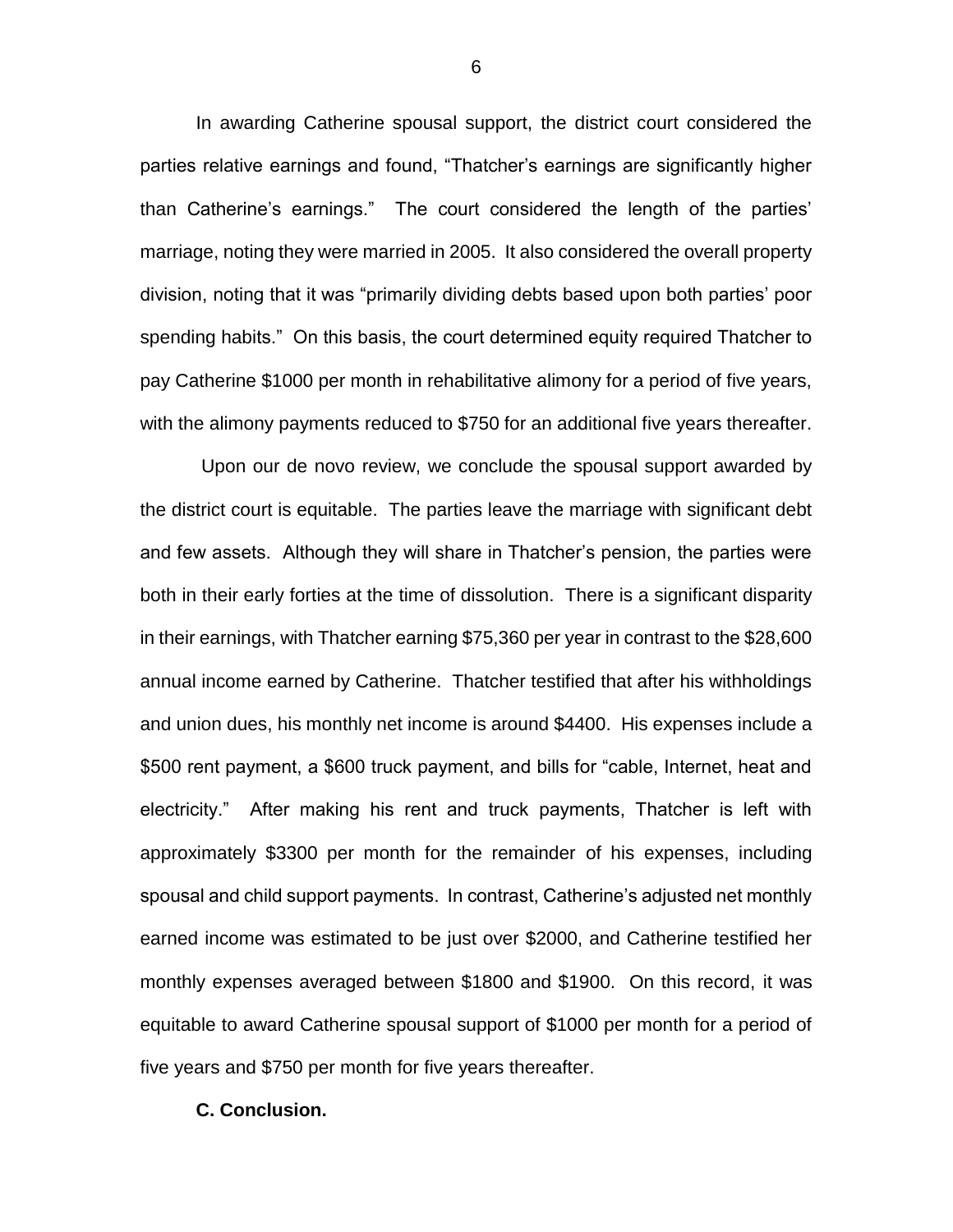In awarding Catherine spousal support, the district court considered the parties relative earnings and found, "Thatcher's earnings are significantly higher than Catherine's earnings." The court considered the length of the parties' marriage, noting they were married in 2005. It also considered the overall property division, noting that it was "primarily dividing debts based upon both parties' poor spending habits." On this basis, the court determined equity required Thatcher to pay Catherine \$1000 per month in rehabilitative alimony for a period of five years, with the alimony payments reduced to \$750 for an additional five years thereafter.

Upon our de novo review, we conclude the spousal support awarded by the district court is equitable. The parties leave the marriage with significant debt and few assets. Although they will share in Thatcher's pension, the parties were both in their early forties at the time of dissolution. There is a significant disparity in their earnings, with Thatcher earning \$75,360 per year in contrast to the \$28,600 annual income earned by Catherine. Thatcher testified that after his withholdings and union dues, his monthly net income is around \$4400. His expenses include a \$500 rent payment, a \$600 truck payment, and bills for "cable, Internet, heat and electricity." After making his rent and truck payments, Thatcher is left with approximately \$3300 per month for the remainder of his expenses, including spousal and child support payments. In contrast, Catherine's adjusted net monthly earned income was estimated to be just over \$2000, and Catherine testified her monthly expenses averaged between \$1800 and \$1900. On this record, it was equitable to award Catherine spousal support of \$1000 per month for a period of five years and \$750 per month for five years thereafter.

#### **C. Conclusion.**